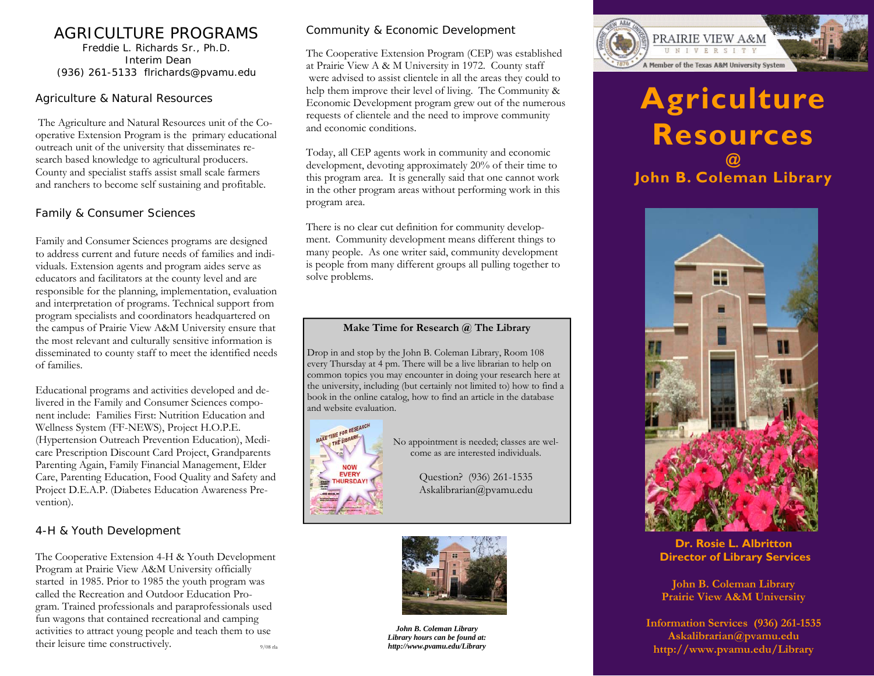# AGRICULTURE PROGRAMS

Freddie L. Richards Sr., Ph.D. Interim Dean (936) 261-5133 flrichards@pvamu.edu

#### Agriculture & Natural Resources

The Agriculture and Natural Resources unit of the Cooperative Extension Program is the primary educational outreach unit of the university that disseminates research based knowledge to agricultural producers. County and specialist staffs assist small scale farmers and ranchers to become self sustaining and profitable.

### Family & Consumer Sciences

Family and Consumer Sciences programs are designed to address current and future needs of families and individuals. Extension agents and program aides serve as educators and facilitators at the county level and are responsible for the planning, implementation, evaluation and interpretation of programs. Technical support from program specialists and coordinators headquartered on the campus of Prairie View A&M University ensure that the most relevant and culturally sensitive information is disseminated to county staff to meet the identified needs of families.

Educational programs and activities developed and delivered in the Family and Consumer Sciences component include: Families First: Nutrition Education and Wellness System (FF-NEWS), Project H.O.P.E. (Hypertension Outreach Prevention Education), Medicare Prescription Discount Card Project, Grandparents Parenting Again, Family Financial Management, Elder Care, Parenting Education, Food Quality and Safety and Project D.E.A.P. (Diabetes Education Awareness Prevention).

#### 4-H & Youth Development

The Cooperative Extension 4-H & Youth Development Program at Prairie View A&M University officially started in 1985. Prior to 1985 the youth program was called the Recreation and Outdoor Education Program. Trained professionals and paraprofessionals used fun wagons that contained recreational and camping activities to attract young people and teach them to use their leisure time constructively.

#### Community & Economic Development

The Cooperative Extension Program (CEP) was established at Prairie View A & M University in 1972. County staff were advised to assist clientele in all the areas they could to help them improve their level of living. The Community & Economic Development program grew out of the numerous requests of clientele and the need to improve community and economic conditions.

Today, all CEP agents work in community and economic development, devoting approximately 20% of their time to this program area. It is generally said that one cannot work in the other program areas without performing work in this program area.

There is no clear cut definition for community development. Community development means different things to many people. As one writer said, community development is people from many different groups all pulling together to solve problems.

#### **Make Time for Research @ The Library**

Drop in and stop by the John B. Coleman Library, Room 108 every Thursday at 4 pm. There will be a live librarian to help on common topics you may encounter in doing your research here at the university, including (but certainly not limited to) how to find a book in the online catalog, how to find an article in the database and website evaluation.



No appointment is needed; classes are welcome as are interested individuals.

> Question? (936) 261-1535 Askalibrarian@pvamu.edu



*John B. Coleman Library Library hours can be found at:*  9/08 rla *http://www.pvamu.edu/Library* 



# **Agriculture Resources @ John B. Coleman Library**



**Dr. Rosie L. Albritton Director of Library Services** 

**John B. Coleman Library Prairie View A&M University** 

**Information Services (936) 261-1535 Askalibrarian@pvamu.edu http://www.pvamu.edu/Library**